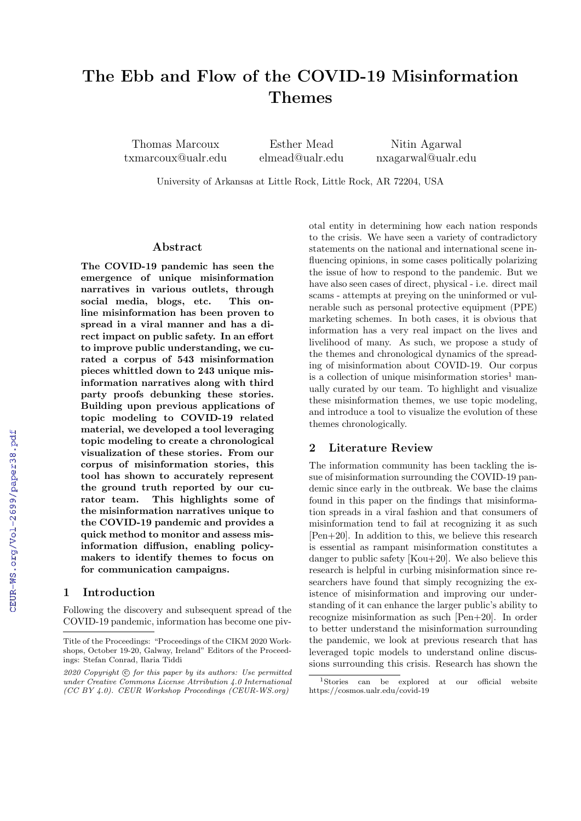# The Ebb and Flow of the COVID-19 Misinformation Themes

Thomas Marcoux txmarcoux@ualr.edu

Esther Mead elmead@ualr.edu

Nitin Agarwal nxagarwal@ualr.edu

University of Arkansas at Little Rock, Little Rock, AR 72204, USA

## Abstract

The COVID-19 pandemic has seen the emergence of unique misinformation narratives in various outlets, through social media, blogs, etc. This online misinformation has been proven to spread in a viral manner and has a direct impact on public safety. In an effort to improve public understanding, we curated a corpus of 543 misinformation pieces whittled down to 243 unique misinformation narratives along with third party proofs debunking these stories. Building upon previous applications of topic modeling to COVID-19 related material, we developed a tool leveraging topic modeling to create a chronological visualization of these stories. From our corpus of misinformation stories, this tool has shown to accurately represent the ground truth reported by our curator team. This highlights some of the misinformation narratives unique to the COVID-19 pandemic and provides a quick method to monitor and assess misinformation diffusion, enabling policymakers to identify themes to focus on for communication campaigns.

### 1 Introduction

Following the discovery and subsequent spread of the COVID-19 pandemic, information has become one pivotal entity in determining how each nation responds to the crisis. We have seen a variety of contradictory statements on the national and international scene influencing opinions, in some cases politically polarizing the issue of how to respond to the pandemic. But we have also seen cases of direct, physical - i.e. direct mail scams - attempts at preying on the uninformed or vulnerable such as personal protective equipment (PPE) marketing schemes. In both cases, it is obvious that information has a very real impact on the lives and livelihood of many. As such, we propose a study of the themes and chronological dynamics of the spreading of misinformation about COVID-19. Our corpus is a collection of unique misinformation stories<sup>1</sup> manually curated by our team. To highlight and visualize these misinformation themes, we use topic modeling, and introduce a tool to visualize the evolution of these themes chronologically.

# 2 Literature Review

The information community has been tackling the issue of misinformation surrounding the COVID-19 pandemic since early in the outbreak. We base the claims found in this paper on the findings that misinformation spreads in a viral fashion and that consumers of misinformation tend to fail at recognizing it as such [Pen+20]. In addition to this, we believe this research is essential as rampant misinformation constitutes a danger to public safety [Kou+20]. We also believe this research is helpful in curbing misinformation since researchers have found that simply recognizing the existence of misinformation and improving our understanding of it can enhance the larger public's ability to recognize misinformation as such [Pen+20]. In order to better understand the misinformation surrounding the pandemic, we look at previous research that has leveraged topic models to understand online discussions surrounding this crisis. Research has shown the

Title of the Proceedings: "Proceedings of the CIKM 2020 Workshops, October 19-20, Galway, Ireland" Editors of the Proceedings: Stefan Conrad, Ilaria Tiddi

 $2020$  Copyright  $\odot$  for this paper by its authors: Use permitted under Creative Commons License Atrribution 4.0 International (CC BY 4.0). CEUR Workshop Proceedings (CEUR-WS.org)

<sup>1</sup>Stories can be explored at our official website https://cosmos.ualr.edu/covid-19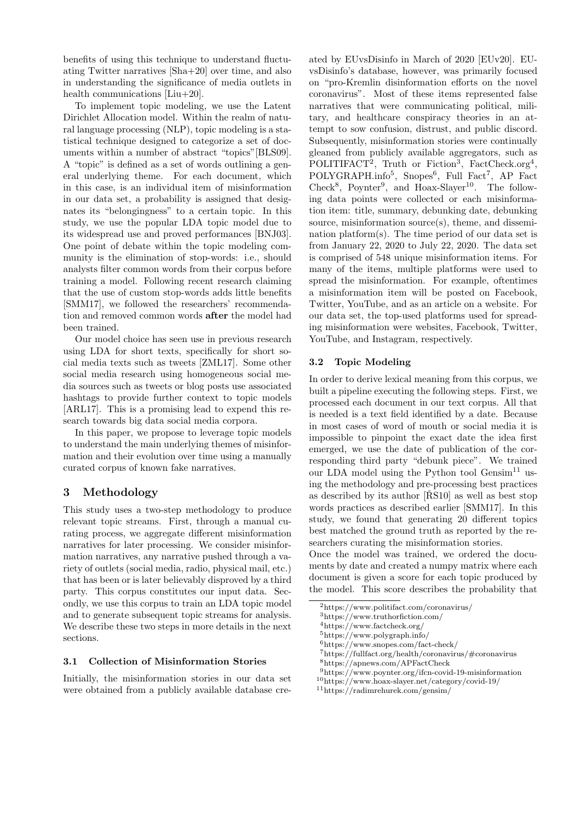benefits of using this technique to understand fluctuating Twitter narratives [Sha+20] over time, and also in understanding the significance of media outlets in health communications [Liu+20].

To implement topic modeling, we use the Latent Dirichlet Allocation model. Within the realm of natural language processing (NLP), topic modeling is a statistical technique designed to categorize a set of documents within a number of abstract "topics"[BLS09]. A "topic" is defined as a set of words outlining a general underlying theme. For each document, which in this case, is an individual item of misinformation in our data set, a probability is assigned that designates its "belongingness" to a certain topic. In this study, we use the popular LDA topic model due to its widespread use and proved performances [BNJ03]. One point of debate within the topic modeling community is the elimination of stop-words: i.e., should analysts filter common words from their corpus before training a model. Following recent research claiming that the use of custom stop-words adds little benefits [SMM17], we followed the researchers' recommendation and removed common words after the model had been trained.

Our model choice has seen use in previous research using LDA for short texts, specifically for short social media texts such as tweets [ZML17]. Some other social media research using homogeneous social media sources such as tweets or blog posts use associated hashtags to provide further context to topic models [ARL17]. This is a promising lead to expend this research towards big data social media corpora.

In this paper, we propose to leverage topic models to understand the main underlying themes of misinformation and their evolution over time using a manually curated corpus of known fake narratives.

# 3 Methodology

This study uses a two-step methodology to produce relevant topic streams. First, through a manual curating process, we aggregate different misinformation narratives for later processing. We consider misinformation narratives, any narrative pushed through a variety of outlets (social media, radio, physical mail, etc.) that has been or is later believably disproved by a third party. This corpus constitutes our input data. Secondly, we use this corpus to train an LDA topic model and to generate subsequent topic streams for analysis. We describe these two steps in more details in the next sections.

#### 3.1 Collection of Misinformation Stories

Initially, the misinformation stories in our data set were obtained from a publicly available database cre-

ated by EUvsDisinfo in March of 2020 [EUv20]. EUvsDisinfo's database, however, was primarily focused on "pro-Kremlin disinformation efforts on the novel coronavirus". Most of these items represented false narratives that were communicating political, military, and healthcare conspiracy theories in an attempt to sow confusion, distrust, and public discord. Subsequently, misinformation stories were continually gleaned from publicly available aggregators, such as POLITIFACT<sup>2</sup>, Truth or Fiction<sup>3</sup>, FactCheck.org<sup>4</sup>, POLYGRAPH.info<sup>5</sup>, Snopes<sup>6</sup>, Full Fact<sup>7</sup>, AP Fact Check<sup>8</sup>, Poynter<sup>9</sup>, and Hoax-Slayer<sup>10</sup>. The following data points were collected or each misinformation item: title, summary, debunking date, debunking source, misinformation source(s), theme, and dissemination platform(s). The time period of our data set is from January 22, 2020 to July 22, 2020. The data set is comprised of 548 unique misinformation items. For many of the items, multiple platforms were used to spread the misinformation. For example, oftentimes a misinformation item will be posted on Facebook, Twitter, YouTube, and as an article on a website. For our data set, the top-used platforms used for spreading misinformation were websites, Facebook, Twitter, YouTube, and Instagram, respectively.

#### 3.2 Topic Modeling

In order to derive lexical meaning from this corpus, we built a pipeline executing the following steps. First, we processed each document in our text corpus. All that is needed is a text field identified by a date. Because in most cases of word of mouth or social media it is impossible to pinpoint the exact date the idea first emerged, we use the date of publication of the corresponding third party "debunk piece". We trained our LDA model using the Python tool Gensim<sup>11</sup> using the methodology and pre-processing best practices as described by its author  $[\text{R}S10]$  as well as best stop words practices as described earlier [SMM17]. In this study, we found that generating 20 different topics best matched the ground truth as reported by the researchers curating the misinformation stories.

Once the model was trained, we ordered the documents by date and created a numpy matrix where each document is given a score for each topic produced by the model. This score describes the probability that

- <sup>3</sup>https://www.truthorfiction.com/
- <sup>4</sup>https://www.factcheck.org/
- <sup>5</sup>https://www.polygraph.info/

<sup>7</sup>https://fullfact.org/health/coronavirus/#coronavirus

- <sup>10</sup>https://www.hoax-slayer.net/category/covid-19/
- <sup>11</sup>https://radimrehurek.com/gensim/

<sup>2</sup>https://www.politifact.com/coronavirus/

 $^6$ https://www.snopes.com/fact-check/

<sup>8</sup>https://apnews.com/APFactCheck

 $^9{\rm https://www.poynter.org/ifcn-covid-19-misinformation}$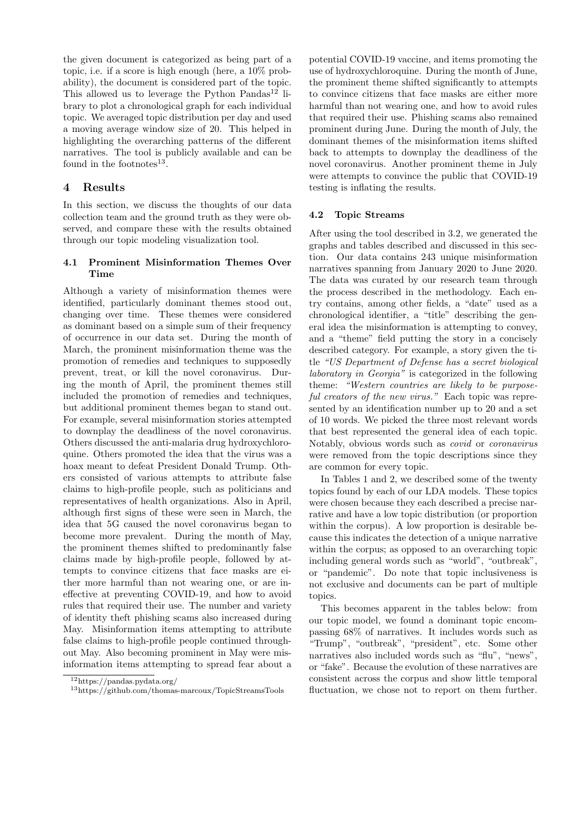the given document is categorized as being part of a topic, i.e. if a score is high enough (here, a 10% probability), the document is considered part of the topic. This allowed us to leverage the Python Pandas<sup>12</sup> library to plot a chronological graph for each individual topic. We averaged topic distribution per day and used a moving average window size of 20. This helped in highlighting the overarching patterns of the different narratives. The tool is publicly available and can be found in the footnotes $^{13}$ .

# 4 Results

In this section, we discuss the thoughts of our data collection team and the ground truth as they were observed, and compare these with the results obtained through our topic modeling visualization tool.

## 4.1 Prominent Misinformation Themes Over Time

Although a variety of misinformation themes were identified, particularly dominant themes stood out, changing over time. These themes were considered as dominant based on a simple sum of their frequency of occurrence in our data set. During the month of March, the prominent misinformation theme was the promotion of remedies and techniques to supposedly prevent, treat, or kill the novel coronavirus. During the month of April, the prominent themes still included the promotion of remedies and techniques, but additional prominent themes began to stand out. For example, several misinformation stories attempted to downplay the deadliness of the novel coronavirus. Others discussed the anti-malaria drug hydroxychloroquine. Others promoted the idea that the virus was a hoax meant to defeat President Donald Trump. Others consisted of various attempts to attribute false claims to high-profile people, such as politicians and representatives of health organizations. Also in April, although first signs of these were seen in March, the idea that 5G caused the novel coronavirus began to become more prevalent. During the month of May, the prominent themes shifted to predominantly false claims made by high-profile people, followed by attempts to convince citizens that face masks are either more harmful than not wearing one, or are ineffective at preventing COVID-19, and how to avoid rules that required their use. The number and variety of identity theft phishing scams also increased during May. Misinformation items attempting to attribute false claims to high-profile people continued throughout May. Also becoming prominent in May were misinformation items attempting to spread fear about a

potential COVID-19 vaccine, and items promoting the use of hydroxychloroquine. During the month of June, the prominent theme shifted significantly to attempts to convince citizens that face masks are either more harmful than not wearing one, and how to avoid rules that required their use. Phishing scams also remained prominent during June. During the month of July, the dominant themes of the misinformation items shifted back to attempts to downplay the deadliness of the novel coronavirus. Another prominent theme in July were attempts to convince the public that COVID-19 testing is inflating the results.

### 4.2 Topic Streams

After using the tool described in 3.2, we generated the graphs and tables described and discussed in this section. Our data contains 243 unique misinformation narratives spanning from January 2020 to June 2020. The data was curated by our research team through the process described in the methodology. Each entry contains, among other fields, a "date" used as a chronological identifier, a "title" describing the general idea the misinformation is attempting to convey, and a "theme" field putting the story in a concisely described category. For example, a story given the title "US Department of Defense has a secret biological laboratory in Georgia" is categorized in the following theme: "Western countries are likely to be purposeful creators of the new virus." Each topic was represented by an identification number up to 20 and a set of 10 words. We picked the three most relevant words that best represented the general idea of each topic. Notably, obvious words such as covid or coronavirus were removed from the topic descriptions since they are common for every topic.

In Tables 1 and 2, we described some of the twenty topics found by each of our LDA models. These topics were chosen because they each described a precise narrative and have a low topic distribution (or proportion within the corpus). A low proportion is desirable because this indicates the detection of a unique narrative within the corpus; as opposed to an overarching topic including general words such as "world", "outbreak", or "pandemic". Do note that topic inclusiveness is not exclusive and documents can be part of multiple topics.

This becomes apparent in the tables below: from our topic model, we found a dominant topic encompassing 68% of narratives. It includes words such as "Trump", "outbreak", "president", etc. Some other narratives also included words such as "flu", "news", or "fake". Because the evolution of these narratives are consistent across the corpus and show little temporal fluctuation, we chose not to report on them further.

<sup>12</sup>https://pandas.pydata.org/

<sup>13</sup>https://github.com/thomas-marcoux/TopicStreamsTools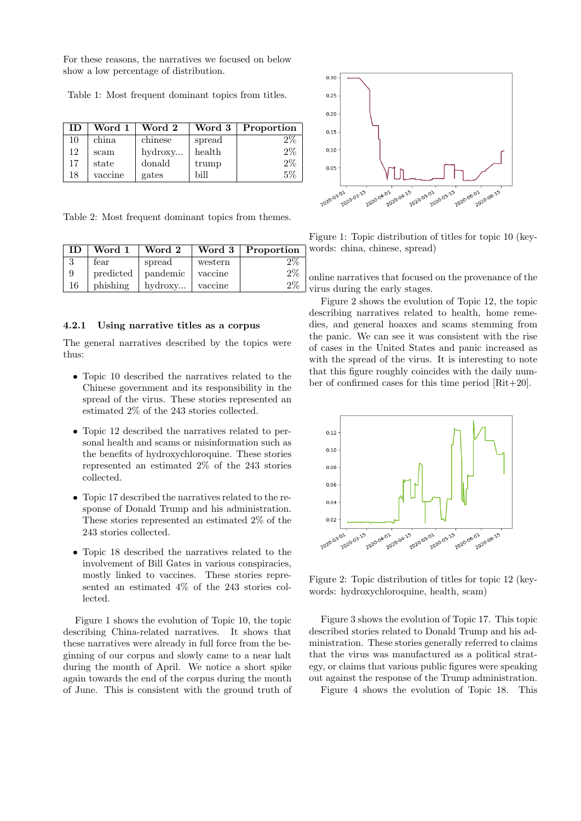For these reasons, the narratives we focused on below show a low percentage of distribution.

Table 1: Most frequent dominant topics from titles.

| <b>ID</b> | Word 1  | Word 2  | Word 3 | Proportion |
|-----------|---------|---------|--------|------------|
| 10        | china.  | chinese | spread | $2\%$      |
| 12        | scam    | hydroxy | health | $2\%$      |
| 17        | state   | donald  | trump  | $2\%$      |
| 18        | vaccine | gates   | bill   | 5%         |

Table 2: Most frequent dominant topics from themes.

| <b>ID</b> | Word 1    | Word 2   |         | Word $3  $ Proportion |
|-----------|-----------|----------|---------|-----------------------|
| 3         | fear      | spread   | western | $2\%$                 |
| 9         | predicted | pandemic | vaccine | $2\%$                 |
| 16        | phishing  | hydroxy  | vaccine | $2\%$                 |

#### 4.2.1 Using narrative titles as a corpus

The general narratives described by the topics were thus:

- Topic 10 described the narratives related to the Chinese government and its responsibility in the spread of the virus. These stories represented an estimated 2% of the 243 stories collected.
- Topic 12 described the narratives related to personal health and scams or misinformation such as the benefits of hydroxychloroquine. These stories represented an estimated 2% of the 243 stories collected.
- Topic 17 described the narratives related to the response of Donald Trump and his administration. These stories represented an estimated 2% of the 243 stories collected.
- Topic 18 described the narratives related to the involvement of Bill Gates in various conspiracies, mostly linked to vaccines. These stories represented an estimated 4% of the 243 stories collected.

Figure 1 shows the evolution of Topic 10, the topic describing China-related narratives. It shows that these narratives were already in full force from the beginning of our corpus and slowly came to a near halt during the month of April. We notice a short spike again towards the end of the corpus during the month of June. This is consistent with the ground truth of



Figure 1: Topic distribution of titles for topic 10 (keywords: china, chinese, spread)

online narratives that focused on the provenance of the virus during the early stages.

Figure 2 shows the evolution of Topic 12, the topic describing narratives related to health, home remedies, and general hoaxes and scams stemming from the panic. We can see it was consistent with the rise of cases in the United States and panic increased as with the spread of the virus. It is interesting to note that this figure roughly coincides with the daily number of confirmed cases for this time period [Rit+20].



Figure 2: Topic distribution of titles for topic 12 (keywords: hydroxychloroquine, health, scam)

Figure 3 shows the evolution of Topic 17. This topic described stories related to Donald Trump and his administration. These stories generally referred to claims that the virus was manufactured as a political strategy, or claims that various public figures were speaking out against the response of the Trump administration.

Figure 4 shows the evolution of Topic 18. This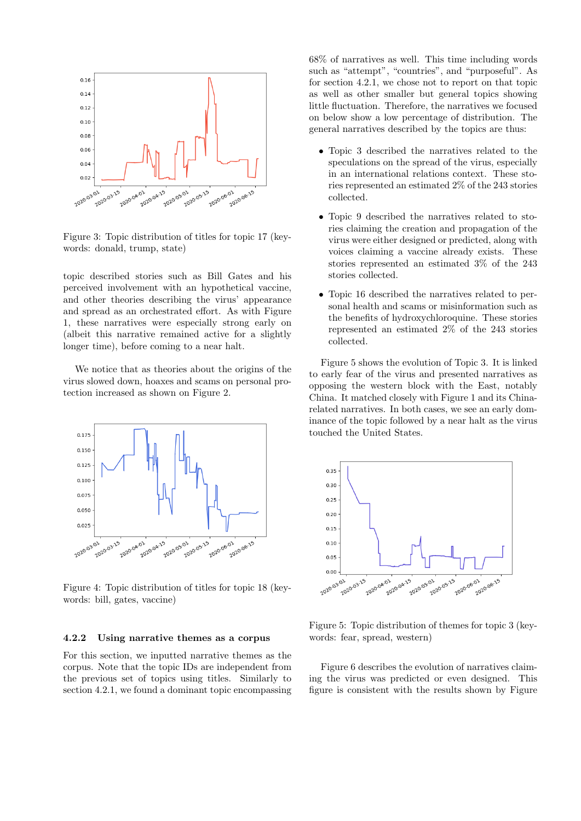

Figure 3: Topic distribution of titles for topic 17 (keywords: donald, trump, state)

topic described stories such as Bill Gates and his perceived involvement with an hypothetical vaccine, and other theories describing the virus' appearance and spread as an orchestrated effort. As with Figure 1, these narratives were especially strong early on (albeit this narrative remained active for a slightly longer time), before coming to a near halt.

We notice that as theories about the origins of the virus slowed down, hoaxes and scams on personal protection increased as shown on Figure 2.



Figure 4: Topic distribution of titles for topic 18 (keywords: bill, gates, vaccine)

#### 4.2.2 Using narrative themes as a corpus

For this section, we inputted narrative themes as the corpus. Note that the topic IDs are independent from the previous set of topics using titles. Similarly to section 4.2.1, we found a dominant topic encompassing 68% of narratives as well. This time including words such as "attempt", "countries", and "purposeful". As for section 4.2.1, we chose not to report on that topic as well as other smaller but general topics showing little fluctuation. Therefore, the narratives we focused on below show a low percentage of distribution. The general narratives described by the topics are thus:

- Topic 3 described the narratives related to the speculations on the spread of the virus, especially in an international relations context. These stories represented an estimated 2% of the 243 stories collected.
- Topic 9 described the narratives related to stories claiming the creation and propagation of the virus were either designed or predicted, along with voices claiming a vaccine already exists. These stories represented an estimated 3% of the 243 stories collected.
- Topic 16 described the narratives related to personal health and scams or misinformation such as the benefits of hydroxychloroquine. These stories represented an estimated 2% of the 243 stories collected.

Figure 5 shows the evolution of Topic 3. It is linked to early fear of the virus and presented narratives as opposing the western block with the East, notably China. It matched closely with Figure 1 and its Chinarelated narratives. In both cases, we see an early dominance of the topic followed by a near halt as the virus touched the United States.



Figure 5: Topic distribution of themes for topic 3 (keywords: fear, spread, western)

Figure 6 describes the evolution of narratives claiming the virus was predicted or even designed. This figure is consistent with the results shown by Figure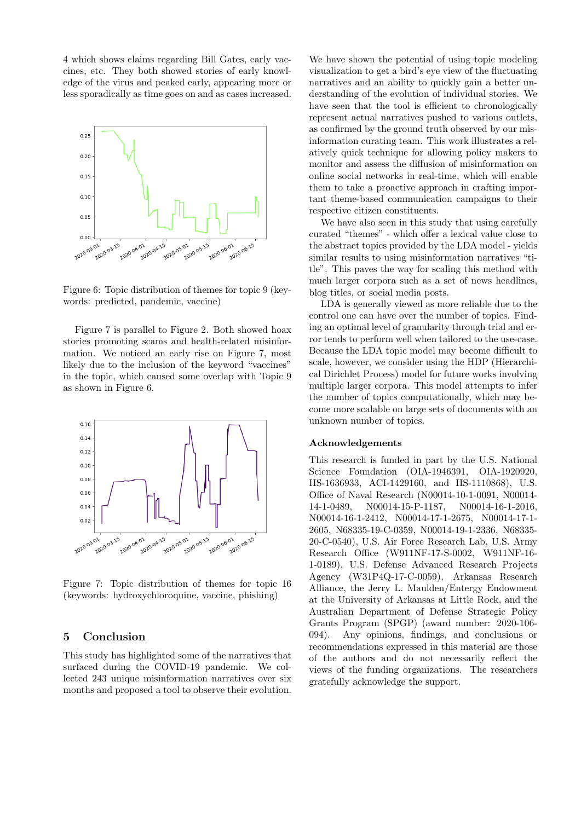4 which shows claims regarding Bill Gates, early vaccines, etc. They both showed stories of early knowledge of the virus and peaked early, appearing more or less sporadically as time goes on and as cases increased.



Figure 6: Topic distribution of themes for topic 9 (keywords: predicted, pandemic, vaccine)

Figure 7 is parallel to Figure 2. Both showed hoax stories promoting scams and health-related misinformation. We noticed an early rise on Figure 7, most likely due to the inclusion of the keyword "vaccines" in the topic, which caused some overlap with Topic 9 as shown in Figure 6.



Figure 7: Topic distribution of themes for topic 16 (keywords: hydroxychloroquine, vaccine, phishing)

## 5 Conclusion

This study has highlighted some of the narratives that surfaced during the COVID-19 pandemic. We collected 243 unique misinformation narratives over six months and proposed a tool to observe their evolution.

We have shown the potential of using topic modeling visualization to get a bird's eye view of the fluctuating narratives and an ability to quickly gain a better understanding of the evolution of individual stories. We have seen that the tool is efficient to chronologically represent actual narratives pushed to various outlets, as confirmed by the ground truth observed by our misinformation curating team. This work illustrates a relatively quick technique for allowing policy makers to monitor and assess the diffusion of misinformation on online social networks in real-time, which will enable them to take a proactive approach in crafting important theme-based communication campaigns to their respective citizen constituents.

We have also seen in this study that using carefully curated "themes" - which offer a lexical value close to the abstract topics provided by the LDA model - yields similar results to using misinformation narratives "title". This paves the way for scaling this method with much larger corpora such as a set of news headlines, blog titles, or social media posts.

LDA is generally viewed as more reliable due to the control one can have over the number of topics. Finding an optimal level of granularity through trial and error tends to perform well when tailored to the use-case. Because the LDA topic model may become difficult to scale, however, we consider using the HDP (Hierarchical Dirichlet Process) model for future works involving multiple larger corpora. This model attempts to infer the number of topics computationally, which may become more scalable on large sets of documents with an unknown number of topics.

#### Acknowledgements

This research is funded in part by the U.S. National Science Foundation (OIA-1946391, OIA-1920920, IIS-1636933, ACI-1429160, and IIS-1110868), U.S. Office of Naval Research (N00014-10-1-0091, N00014- 14-1-0489, N00014-15-P-1187, N00014-16-1-2016, N00014-16-1-2412, N00014-17-1-2675, N00014-17-1- 2605, N68335-19-C-0359, N00014-19-1-2336, N68335- 20-C-0540), U.S. Air Force Research Lab, U.S. Army Research Office (W911NF-17-S-0002, W911NF-16- 1-0189), U.S. Defense Advanced Research Projects Agency (W31P4Q-17-C-0059), Arkansas Research Alliance, the Jerry L. Maulden/Entergy Endowment at the University of Arkansas at Little Rock, and the Australian Department of Defense Strategic Policy Grants Program (SPGP) (award number: 2020-106- 094). Any opinions, findings, and conclusions or recommendations expressed in this material are those of the authors and do not necessarily reflect the views of the funding organizations. The researchers gratefully acknowledge the support.